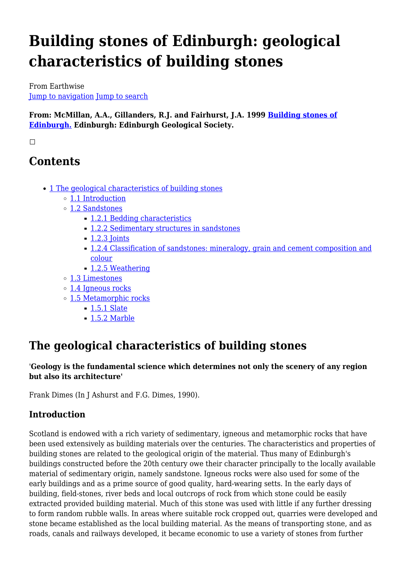# **Building stones of Edinburgh: geological characteristics of building stones**

From Earthwise [Jump to navigation](#page--1-0) [Jump to search](#page--1-0)

**From: McMillan, A.A., Gillanders, R.J. and Fairhurst, J.A. 1999 [Building stones of](http://earthwise.bgs.ac.uk/index.php/Building_stones_of_Edinburgh._2nd_edition.) [Edinburgh.](http://earthwise.bgs.ac.uk/index.php/Building_stones_of_Edinburgh._2nd_edition.) Edinburgh: Edinburgh Geological Society.**

 $\Box$ 

# **Contents**

- [1](#page--1-0) [The geological characteristics of building stones](#page--1-0)
	- [1.1](#page--1-0) [Introduction](#page--1-0)
	- [1.2](#page--1-0) [Sandstones](#page--1-0)
		- [1.2.1](#page--1-0) [Bedding characteristics](#page--1-0)
		- [1.2.2](#page--1-0) [Sedimentary structures in sandstones](#page--1-0)
		- [1.2.3](#page--1-0) [Joints](#page--1-0)
		- [1.2.4](#Classification_of_sandstones:_mineralogy.2C_grain_and_cement_composition_and_colour) [Classification of sandstones: mineralogy, grain and cement composition and](#Classification_of_sandstones:_mineralogy.2C_grain_and_cement_composition_and_colour) [colour](#Classification_of_sandstones:_mineralogy.2C_grain_and_cement_composition_and_colour)
		- [1.2.5](#page--1-0) [Weathering](#page--1-0)
	- [1.3](#page--1-0) [Limestones](#page--1-0)
	- [1.4](#page--1-0) [Igneous rocks](#page--1-0)
	- [1.5](#page--1-0) [Metamorphic rocks](#page--1-0)
		- [1.5.1](#page--1-0) [Slate](#page--1-0)
			- [1.5.2](#page--1-0) [Marble](#page--1-0)

# **The geological characteristics of building stones**

#### '**Geology is the fundamental science which determines not only the scenery of any region but also its architecture'**

Frank Dimes (In J Ashurst and F.G. Dimes, 1990).

# **Introduction**

Scotland is endowed with a rich variety of sedimentary, igneous and metamorphic rocks that have been used extensively as building materials over the centuries. The characteristics and properties of building stones are related to the geological origin of the material. Thus many of Edinburgh's buildings constructed before the 20th century owe their character principally to the locally available material of sedimentary origin, namely sandstone. Igneous rocks were also used for some of the early buildings and as a prime source of good quality, hard-wearing setts. In the early days of building, field-stones, river beds and local outcrops of rock from which stone could be easily extracted provided building material. Much of this stone was used with little if any further dressing to form random rubble walls. In areas where suitable rock cropped out, quarries were developed and stone became established as the local building material. As the means of transporting stone, and as roads, canals and railways developed, it became economic to use a variety of stones from further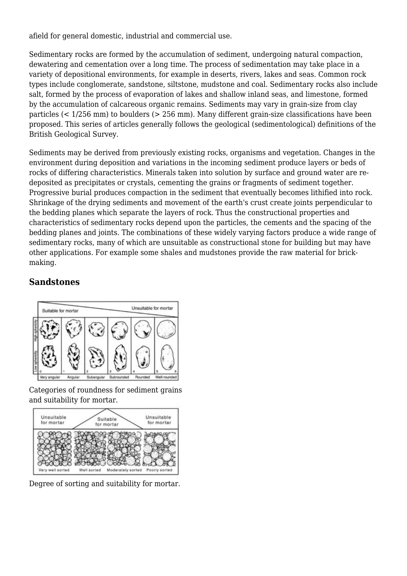afield for general domestic, industrial and commercial use.

Sedimentary rocks are formed by the accumulation of sediment, undergoing natural compaction, dewatering and cementation over a long time. The process of sedimentation may take place in a variety of depositional environments, for example in deserts, rivers, lakes and seas. Common rock types include conglomerate, sandstone, siltstone, mudstone and coal. Sedimentary rocks also include salt, formed by the process of evaporation of lakes and shallow inland seas, and limestone, formed by the accumulation of calcareous organic remains. Sediments may vary in grain-size from clay particles (< 1/256 mm) to boulders (> 256 mm). Many different grain-size classifications have been proposed. This series of articles generally follows the geological (sedimentological) definitions of the British Geological Survey.

Sediments may be derived from previously existing rocks, organisms and vegetation. Changes in the environment during deposition and variations in the incoming sediment produce layers or beds of rocks of differing characteristics. Minerals taken into solution by surface and ground water are redeposited as precipitates or crystals, cementing the grains or fragments of sediment together. Progressive burial produces compaction in the sediment that eventually becomes lithified into rock. Shrinkage of the drying sediments and movement of the earth's crust create joints perpendicular to the bedding planes which separate the layers of rock. Thus the constructional properties and characteristics of sedimentary rocks depend upon the particles, the cements and the spacing of the bedding planes and joints. The combinations of these widely varying factors produce a wide range of sedimentary rocks, many of which are unsuitable as constructional stone for building but may have other applications. For example some shales and mudstones provide the raw material for brickmaking.

### **Sandstones**



Categories of roundness for sediment grains and suitability for mortar.



Degree of sorting and suitability for mortar.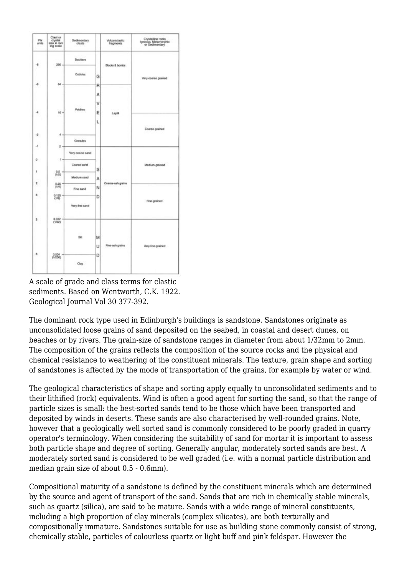| Phi<br>units      | Clast or<br>crystal<br>size in mm<br>kog scale | Sedimentary<br>clasts |        | Volcaniclastic<br>fragments | Crystalline rocks<br>Igneous, Meternorphic<br>or Sedimentary |
|-------------------|------------------------------------------------|-----------------------|--------|-----------------------------|--------------------------------------------------------------|
| ۰                 | 256 -                                          | <b>Boulders</b>       |        | Blocks & bombs              | Vary coarse grained                                          |
|                   |                                                | Cobbles               | Ġ      |                             |                                                              |
| 唱                 | 66.                                            |                       | R      |                             |                                                              |
| 4                 | $16 -$                                         | Pobbles               | А<br>٧ |                             |                                                              |
|                   |                                                |                       | Ε<br>L | Lapiti                      | Coarse-prained                                               |
| 4.                | ă                                              |                       |        |                             |                                                              |
| $-1$              | 2                                              | Granules              |        |                             |                                                              |
|                   |                                                | Very-coarse sand      |        |                             |                                                              |
| $\mathbb{D}$<br>1 | $-1 -$<br>0.5                                  | Coarse sand           | Š      |                             | Medium-grained                                               |
|                   | (1/2)                                          | Medium sand           | А      |                             |                                                              |
| z                 | 0.25<br>(1/4)                                  | Fine sand             | N      | Coarse-ash grains           | Fine-grained                                                 |
| э                 | 0.125<br>(1/8)                                 | Very-line sand        | D      |                             |                                                              |
| s. .              | 0.032<br>(1/32)                                |                       |        |                             |                                                              |
| ٠                 |                                                | Sit<br>0.004          | м      |                             |                                                              |
|                   | (1/256)                                        |                       | U      | Fine-ash grains             | Very-line-grained                                            |
|                   |                                                |                       | D      |                             |                                                              |
|                   |                                                | Clay                  |        |                             |                                                              |

A scale of grade and class terms for clastic sediments. Based on Wentworth, C.K. 1922. Geological Journal Vol 30 377-392.

The dominant rock type used in Edinburgh's buildings is sandstone. Sandstones originate as unconsolidated loose grains of sand deposited on the seabed, in coastal and desert dunes, on beaches or by rivers. The grain-size of sandstone ranges in diameter from about 1/32mm to 2mm. The composition of the grains reflects the composition of the source rocks and the physical and chemical resistance to weathering of the constituent minerals. The texture, grain shape and sorting of sandstones is affected by the mode of transportation of the grains, for example by water or wind.

The geological characteristics of shape and sorting apply equally to unconsolidated sediments and to their lithified (rock) equivalents. Wind is often a good agent for sorting the sand, so that the range of particle sizes is small: the best-sorted sands tend to be those which have been transported and deposited by winds in deserts. These sands are also characterised by well-rounded grains. Note, however that a geologically well sorted sand is commonly considered to be poorly graded in quarry operator's terminology. When considering the suitability of sand for mortar it is important to assess both particle shape and degree of sorting. Generally angular, moderately sorted sands are best. A moderately sorted sand is considered to be well graded (i.e. with a normal particle distribution and median grain size of about  $0.5 - 0.6$ mm).

Compositional maturity of a sandstone is defined by the constituent minerals which are determined by the source and agent of transport of the sand. Sands that are rich in chemically stable minerals, such as quartz (silica), are said to be mature. Sands with a wide range of mineral constituents, including a high proportion of clay minerals (complex silicates), are both texturally and compositionally immature. Sandstones suitable for use as building stone commonly consist of strong, chemically stable, particles of colourless quartz or light buff and pink feldspar. However the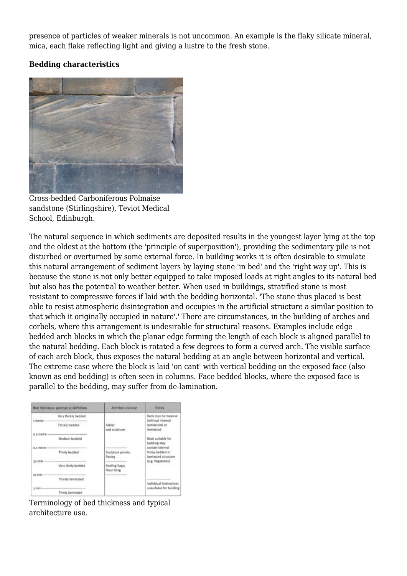presence of particles of weaker minerals is not uncommon. An example is the flaky silicate mineral, mica, each flake reflecting light and giving a lustre to the fresh stone.

#### **Bedding characteristics**



Cross-bedded Carboniferous Polmaise sandstone (Stirlingshire), Teviot Medical School, Edinburgh.

The natural sequence in which sediments are deposited results in the youngest layer lying at the top and the oldest at the bottom (the 'principle of superposition'), providing the sedimentary pile is not disturbed or overturned by some external force. In building works it is often desirable to simulate this natural arrangement of sediment layers by laying stone 'in bed' and the 'right way up'. This is because the stone is not only better equipped to take imposed loads at right angles to its natural bed but also has the potential to weather better. When used in buildings, stratified stone is most resistant to compressive forces if laid with the bedding horizontal. 'The stone thus placed is best able to resist atmospheric disintegration and occupies in the artificial structure a similar position to that which it originally occupied in nature'.' There are circumstances, in the building of arches and corbels, where this arrangement is undesirable for structural reasons. Examples include edge bedded arch blocks in which the planar edge forming the length of each block is aligned parallel to the natural bedding. Each block is rotated a few degrees to form a curved arch. The visible surface of each arch block, thus exposes the natural bedding at an angle between horizontal and vertical. The extreme case where the block is laid 'on cant' with vertical bedding on the exposed face (also known as end bedding) is often seen in columns. Face bedded blocks, where the exposed face is parallel to the bedding, may suffer from de-lamination.

| Bed thickness: geological definition |                                                            | Architectural use                             | <b>Notes</b>                                      |  |
|--------------------------------------|------------------------------------------------------------|-----------------------------------------------|---------------------------------------------------|--|
|                                      | Very thickly bedded                                        |                                               | Beds may be massive<br>(without internal          |  |
| 5 metre -----                        | Administration and an electric expension<br>Thickly bedded | Ashlar.<br>and sculpture.                     | lamination) or<br>laminated                       |  |
| 0.3 metre ------                     | <br>Medium bedded                                          |                                               | Beds suitable for                                 |  |
| 0.1 metre --------------------       |                                                            | ------------                                  | building may<br>contain internal                  |  |
| 2020/01/2                            | Thinly bedded                                              | Sculpture panels;<br>Paving                   | thinly bedded or<br>laminated structure           |  |
| to mm -                              | Very thinly bedded                                         | bmitts does a seat a previ-<br>Roofing flags: | (e.g. flagstones)<br>そうそうせい ひんしょうほう               |  |
|                                      |                                                            | <b>Floor tiling</b>                           |                                                   |  |
| 50 mm -                              | <b>*************************</b><br>Thickly laminated      | -----------------------                       |                                                   |  |
|                                      |                                                            |                                               | Individual laminations<br>unsuitable for building |  |
|                                      | Thinly laminated                                           |                                               |                                                   |  |

Terminology of bed thickness and typical architecture use.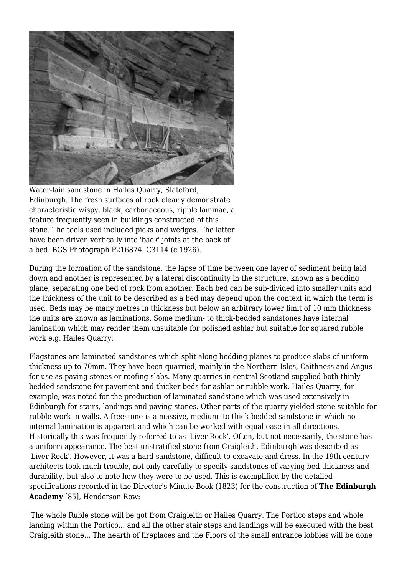

Water-lain sandstone in Hailes Quarry, Slateford, Edinburgh. The fresh surfaces of rock clearly demonstrate characteristic wispy, black, carbonaceous, ripple laminae, a feature frequently seen in buildings constructed of this stone. The tools used included picks and wedges. The latter have been driven vertically into 'back' joints at the back of a bed. BGS Photograph P216874. C3114 (c.1926).

During the formation of the sandstone, the lapse of time between one layer of sediment being laid down and another is represented by a lateral discontinuity in the structure, known as a bedding plane, separating one bed of rock from another. Each bed can be sub-divided into smaller units and the thickness of the unit to be described as a bed may depend upon the context in which the term is used. Beds may be many metres in thickness but below an arbitrary lower limit of 10 mm thickness the units are known as laminations. Some medium- to thick-bedded sandstones have internal lamination which may render them unsuitable for polished ashlar but suitable for squared rubble work e.g. Hailes Quarry.

Flagstones are laminated sandstones which split along bedding planes to produce slabs of uniform thickness up to 70mm. They have been quarried, mainly in the Northern Isles, Caithness and Angus for use as paving stones or roofing slabs. Many quarries in central Scotland supplied both thinly bedded sandstone for pavement and thicker beds for ashlar or rubble work. Hailes Quarry, for example, was noted for the production of laminated sandstone which was used extensively in Edinburgh for stairs, landings and paving stones. Other parts of the quarry yielded stone suitable for rubble work in walls. A freestone is a massive, medium- to thick-bedded sandstone in which no internal lamination is apparent and which can be worked with equal ease in all directions. Historically this was frequently referred to as 'Liver Rock'. Often, but not necessarily, the stone has a uniform appearance. The best unstratified stone from Craigleith, Edinburgh was described as 'Liver Rock'. However, it was a hard sandstone, difficult to excavate and dress. In the 19th century architects took much trouble, not only carefully to specify sandstones of varying bed thickness and durability, but also to note how they were to be used. This is exemplified by the detailed specifications recorded in the Director's Minute Book (1823) for the construction of **The Edinburgh Academy** [85], Henderson Row:

'The whole Ruble stone will be got from Craigleith or Hailes Quarry. The Portico steps and whole landing within the Portico... and all the other stair steps and landings will be executed with the best Craigleith stone... The hearth of fireplaces and the Floors of the small entrance lobbies will be done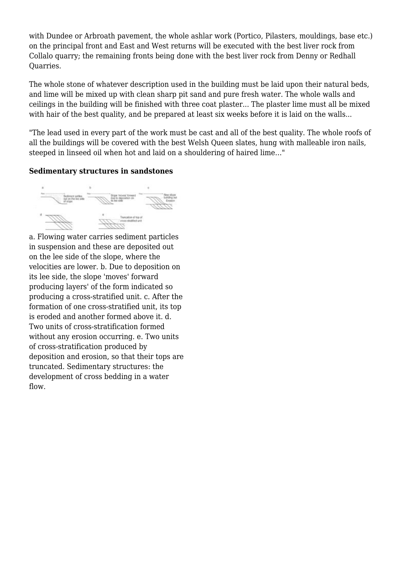with Dundee or Arbroath pavement, the whole ashlar work (Portico, Pilasters, mouldings, base etc.) on the principal front and East and West returns will be executed with the best liver rock from Collalo quarry; the remaining fronts being done with the best liver rock from Denny or Redhall Quarries.

The whole stone of whatever description used in the building must be laid upon their natural beds, and lime will be mixed up with clean sharp pit sand and pure fresh water. The whole walls and ceilings in the building will be finished with three coat plaster... The plaster lime must all be mixed with hair of the best quality, and be prepared at least six weeks before it is laid on the walls...

"The lead used in every part of the work must be cast and all of the best quality. The whole roofs of all the buildings will be covered with the best Welsh Queen slates, hung with malleable iron nails, steeped in linseed oil when hot and laid on a shouldering of haired lime…"

#### **Sedimentary structures in sandstones**



a. Flowing water carries sediment particles in suspension and these are deposited out on the lee side of the slope, where the velocities are lower. b. Due to deposition on its lee side, the slope 'moves' forward producing layers' of the form indicated so producing a cross-stratified unit. c. After the formation of one cross-stratified unit, its top is eroded and another formed above it. d. Two units of cross-stratification formed without any erosion occurring. e. Two units of cross-stratification produced by deposition and erosion, so that their tops are truncated. Sedimentary structures: the development of cross bedding in a water flow.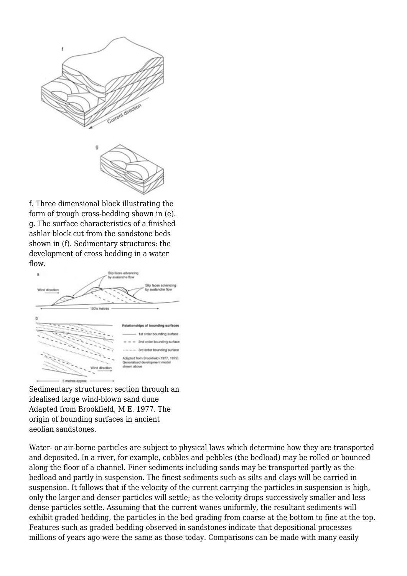

f. Three dimensional block illustrating the form of trough cross-bedding shown in (e). g. The surface characteristics of a finished ashlar block cut from the sandstone beds shown in (f). Sedimentary structures: the development of cross bedding in a water flow.



Sedimentary structures: section through an idealised large wind-blown sand dune Adapted from Brookfield, M E. 1977. The origin of bounding surfaces in ancient aeolian sandstones.

Water- or air-borne particles are subject to physical laws which determine how they are transported and deposited. In a river, for example, cobbles and pebbles (the bedload) may be rolled or bounced along the floor of a channel. Finer sediments including sands may be transported partly as the bedload and partly in suspension. The finest sediments such as silts and clays will be carried in suspension. It follows that if the velocity of the current carrying the particles in suspension is high, only the larger and denser particles will settle; as the velocity drops successively smaller and less dense particles settle. Assuming that the current wanes uniformly, the resultant sediments will exhibit graded bedding, the particles in the bed grading from coarse at the bottom to fine at the top. Features such as graded bedding observed in sandstones indicate that depositional processes millions of years ago were the same as those today. Comparisons can be made with many easily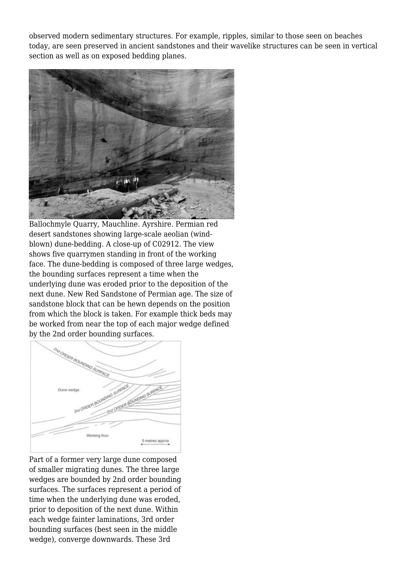observed modern sedimentary structures. For example, ripples, similar to those seen on beaches today, are seen preserved in ancient sandstones and their wavelike structures can be seen in vertical section as well as on exposed bedding planes.



Ballochmyle Quarry, Mauchline. Ayrshire. Permian red desert sandstones showing large-scale aeolian (windblown) dune-bedding. A close-up of C02912. The view shows five quarrymen standing in front of the working face. The dune-bedding is composed of three large wedges, the bounding surfaces represent a time when the underlying dune was eroded prior to the deposition of the next dune. New Red Sandstone of Permian age. The size of sandstone block that can be hewn depends on the position from which the block is taken. For example thick beds may be worked from near the top of each major wedge defined by the 2nd order bounding surfaces.



Part of a former very large dune composed of smaller migrating dunes. The three large wedges are bounded by 2nd order bounding surfaces. The surfaces represent a period of time when the underlying dune was eroded, prior to deposition of the next dune. Within each wedge fainter laminations, 3rd order bounding surfaces (best seen in the middle wedge), converge downwards. These 3rd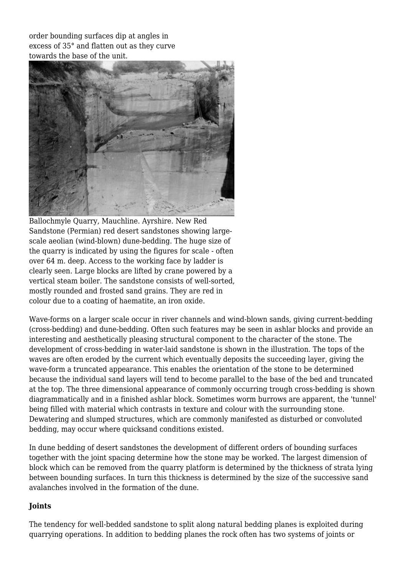order bounding surfaces dip at angles in excess of 35° and flatten out as they curve towards the base of the unit.



Ballochmyle Quarry, Mauchline. Ayrshire. New Red Sandstone (Permian) red desert sandstones showing largescale aeolian (wind-blown) dune-bedding. The huge size of the quarry is indicated by using the figures for scale - often over 64 m. deep. Access to the working face by ladder is clearly seen. Large blocks are lifted by crane powered by a vertical steam boiler. The sandstone consists of well-sorted, mostly rounded and frosted sand grains. They are red in colour due to a coating of haematite, an iron oxide.

Wave-forms on a larger scale occur in river channels and wind-blown sands, giving current-bedding (cross-bedding) and dune-bedding. Often such features may be seen in ashlar blocks and provide an interesting and aesthetically pleasing structural component to the character of the stone. The development of cross-bedding in water-laid sandstone is shown in the illustration. The tops of the waves are often eroded by the current which eventually deposits the succeeding layer, giving the wave-form a truncated appearance. This enables the orientation of the stone to be determined because the individual sand layers will tend to become parallel to the base of the bed and truncated at the top. The three dimensional appearance of commonly occurring trough cross-bedding is shown diagrammatically and in a finished ashlar block. Sometimes worm burrows are apparent, the 'tunnel' being filled with material which contrasts in texture and colour with the surrounding stone. Dewatering and slumped structures, which are commonly manifested as disturbed or convoluted bedding, may occur where quicksand conditions existed.

In dune bedding of desert sandstones the development of different orders of bounding surfaces together with the joint spacing determine how the stone may be worked. The largest dimension of block which can be removed from the quarry platform is determined by the thickness of strata lying between bounding surfaces. In turn this thickness is determined by the size of the successive sand avalanches involved in the formation of the dune.

#### **Joints**

The tendency for well-bedded sandstone to split along natural bedding planes is exploited during quarrying operations. In addition to bedding planes the rock often has two systems of joints or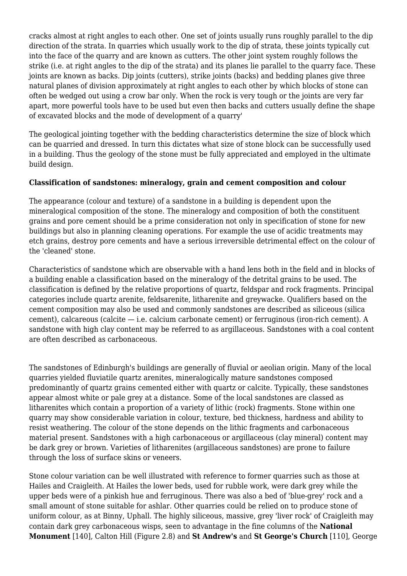cracks almost at right angles to each other. One set of joints usually runs roughly parallel to the dip direction of the strata. In quarries which usually work to the dip of strata, these joints typically cut into the face of the quarry and are known as cutters. The other joint system roughly follows the strike (i.e. at right angles to the dip of the strata) and its planes lie parallel to the quarry face. These joints are known as backs. Dip joints (cutters), strike joints (backs) and bedding planes give three natural planes of division approximately at right angles to each other by which blocks of stone can often be wedged out using a crow bar only. When the rock is very tough or the joints are very far apart, more powerful tools have to be used but even then backs and cutters usually define the shape of excavated blocks and the mode of development of a quarry'

The geological jointing together with the bedding characteristics determine the size of block which can be quarried and dressed. In turn this dictates what size of stone block can be successfully used in a building. Thus the geology of the stone must be fully appreciated and employed in the ultimate build design.

#### **Classification of sandstones: mineralogy, grain and cement composition and colour**

The appearance (colour and texture) of a sandstone in a building is dependent upon the mineralogical composition of the stone. The mineralogy and composition of both the constituent grains and pore cement should be a prime consideration not only in specification of stone for new buildings but also in planning cleaning operations. For example the use of acidic treatments may etch grains, destroy pore cements and have a serious irreversible detrimental effect on the colour of the 'cleaned' stone.

Characteristics of sandstone which are observable with a hand lens both in the field and in blocks of a building enable a classification based on the mineralogy of the detrital grains to be used. The classification is defined by the relative proportions of quartz, feldspar and rock fragments. Principal categories include quartz arenite, feldsarenite, litharenite and greywacke. Qualifiers based on the cement composition may also be used and commonly sandstones are described as siliceous (silica cement), calcareous (calcite — i.e. calcium carbonate cement) or ferruginous (iron-rich cement). A sandstone with high clay content may be referred to as argillaceous. Sandstones with a coal content are often described as carbonaceous.

The sandstones of Edinburgh's buildings are generally of fluvial or aeolian origin. Many of the local quarries yielded fluviatile quartz arenites, mineralogically mature sandstones composed predominantly of quartz grains cemented either with quartz or calcite. Typically, these sandstones appear almost white or pale grey at a distance. Some of the local sandstones are classed as litharenites which contain a proportion of a variety of lithic (rock) fragments. Stone within one quarry may show considerable variation in colour, texture, bed thickness, hardness and ability to resist weathering. The colour of the stone depends on the lithic fragments and carbonaceous material present. Sandstones with a high carbonaceous or argillaceous (clay mineral) content may be dark grey or brown. Varieties of litharenites (argillaceous sandstones) are prone to failure through the loss of surface skins or veneers.

Stone colour variation can be well illustrated with reference to former quarries such as those at Hailes and Craigleith. At Hailes the lower beds, used for rubble work, were dark grey while the upper beds were of a pinkish hue and ferruginous. There was also a bed of 'blue-grey' rock and a small amount of stone suitable for ashlar. Other quarries could be relied on to produce stone of uniform colour, as at Binny, Uphall. The highly siliceous, massive, grey 'liver rock' of Craigleith may contain dark grey carbonaceous wisps, seen to advantage in the fine columns of the **National Monument** [140], Calton Hill (Figure 2.8) and **St Andrew's** and **St George's Church** [110], George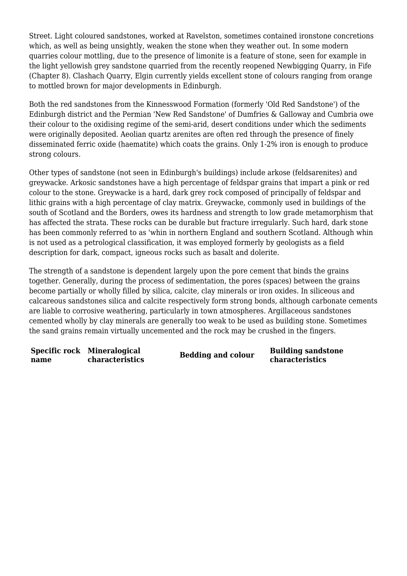Street. Light coloured sandstones, worked at Ravelston, sometimes contained ironstone concretions which, as well as being unsightly, weaken the stone when they weather out. In some modern quarries colour mottling, due to the presence of limonite is a feature of stone, seen for example in the light yellowish grey sandstone quarried from the recently reopened Newbigging Quarry, in Fife (Chapter 8). Clashach Quarry, Elgin currently yields excellent stone of colours ranging from orange to mottled brown for major developments in Edinburgh.

Both the red sandstones from the Kinnesswood Formation (formerly 'Old Red Sandstone') of the Edinburgh district and the Permian 'New Red Sandstone' of Dumfries & Galloway and Cumbria owe their colour to the oxidising regime of the semi-arid, desert conditions under which the sediments were originally deposited. Aeolian quartz arenites are often red through the presence of finely disseminated ferric oxide (haematite) which coats the grains. Only 1-2% iron is enough to produce strong colours.

Other types of sandstone (not seen in Edinburgh's buildings) include arkose (feldsarenites) and greywacke. Arkosic sandstones have a high percentage of feldspar grains that impart a pink or red colour to the stone. Greywacke is a hard, dark grey rock composed of principally of feldspar and lithic grains with a high percentage of clay matrix. Greywacke, commonly used in buildings of the south of Scotland and the Borders, owes its hardness and strength to low grade metamorphism that has affected the strata. These rocks can be durable but fracture irregularly. Such hard, dark stone has been commonly referred to as 'whin in northern England and southern Scotland. Although whin is not used as a petrological classification, it was employed formerly by geologists as a field description for dark, compact, igneous rocks such as basalt and dolerite.

The strength of a sandstone is dependent largely upon the pore cement that binds the grains together. Generally, during the process of sedimentation, the pores (spaces) between the grains become partially or wholly filled by silica, calcite, clay minerals or iron oxides. In siliceous and calcareous sandstones silica and calcite respectively form strong bonds, although carbonate cements are liable to corrosive weathering, particularly in town atmospheres. Argillaceous sandstones cemented wholly by clay minerals are generally too weak to be used as building stone. Sometimes the sand grains remain virtually uncemented and the rock may be crushed in the fingers.

**Specific rock Mineralogical name**

**Figure 1) Characteristics**<br>**Characteristics**<br>**Bedding and colour**<br>**characteristics characteristics**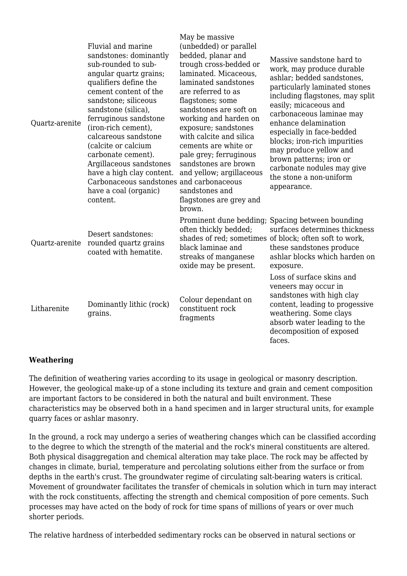| Quartz-arenite | Fluvial and marine<br>sandstones: dominantly<br>sub-rounded to sub-<br>angular quartz grains;<br>qualifiers define the<br>cement content of the<br>sandstone; siliceous<br>sandstone (silica),<br>ferruginous sandstone<br>(iron-rich cement),<br>calcareous sandstone<br>(calcite or calcium<br>carbonate cement).<br>Argillaceous sandstones<br>have a high clay content.<br>Carbonaceous sandstones and carbonaceous<br>have a coal (organic)<br>content. | May be massive<br>(unbedded) or parallel<br>bedded, planar and<br>trough cross-bedded or<br>laminated. Micaceous,<br>laminated sandstones<br>are referred to as<br>flagstones; some<br>sandstones are soft on<br>working and harden on<br>exposure; sandstones<br>with calcite and silica<br>cements are white or<br>pale grey; ferruginous<br>sandstones are brown<br>and yellow; argillaceous<br>sandstones and<br>flagstones are grey and<br>brown. | Massive sandstone hard to<br>work, may produce durable<br>ashlar; bedded sandstones,<br>particularly laminated stones<br>including flagstones, may split<br>easily; micaceous and<br>carbonaceous laminae may<br>enhance delamination<br>especially in face-bedded<br>blocks; iron-rich impurities<br>may produce yellow and<br>brown patterns; iron or<br>carbonate nodules may give<br>the stone a non-uniform<br>appearance. |
|----------------|--------------------------------------------------------------------------------------------------------------------------------------------------------------------------------------------------------------------------------------------------------------------------------------------------------------------------------------------------------------------------------------------------------------------------------------------------------------|--------------------------------------------------------------------------------------------------------------------------------------------------------------------------------------------------------------------------------------------------------------------------------------------------------------------------------------------------------------------------------------------------------------------------------------------------------|---------------------------------------------------------------------------------------------------------------------------------------------------------------------------------------------------------------------------------------------------------------------------------------------------------------------------------------------------------------------------------------------------------------------------------|
| Quartz-arenite | Desert sandstones:<br>rounded quartz grains<br>coated with hematite.                                                                                                                                                                                                                                                                                                                                                                                         | often thickly bedded;<br>black laminae and<br>streaks of manganese<br>oxide may be present.                                                                                                                                                                                                                                                                                                                                                            | Prominent dune bedding; Spacing between bounding<br>surfaces determines thickness<br>shades of red; sometimes of block; often soft to work,<br>these sandstones produce<br>ashlar blocks which harden on<br>exposure.                                                                                                                                                                                                           |
| Litharenite    | Dominantly lithic (rock)<br>grains.                                                                                                                                                                                                                                                                                                                                                                                                                          | Colour dependant on<br>constituent rock<br>fragments                                                                                                                                                                                                                                                                                                                                                                                                   | Loss of surface skins and<br>veneers may occur in<br>sandstones with high clay<br>content, leading to progessive<br>weathering. Some clays<br>absorb water leading to the<br>decomposition of exposed<br>faces.                                                                                                                                                                                                                 |

#### **Weathering**

The definition of weathering varies according to its usage in geological or masonry description. However, the geological make-up of a stone including its texture and grain and cement composition are important factors to be considered in both the natural and built environment. These characteristics may be observed both in a hand specimen and in larger structural units, for example quarry faces or ashlar masonry.

In the ground, a rock may undergo a series of weathering changes which can be classified according to the degree to which the strength of the material and the rock's mineral constituents are altered. Both physical disaggregation and chemical alteration may take place. The rock may be affected by changes in climate, burial, temperature and percolating solutions either from the surface or from depths in the earth's crust. The groundwater regime of circulating salt-bearing waters is critical. Movement of groundwater facilitates the transfer of chemicals in solution which in turn may interact with the rock constituents, affecting the strength and chemical composition of pore cements. Such processes may have acted on the body of rock for time spans of millions of years or over much shorter periods.

The relative hardness of interbedded sedimentary rocks can be observed in natural sections or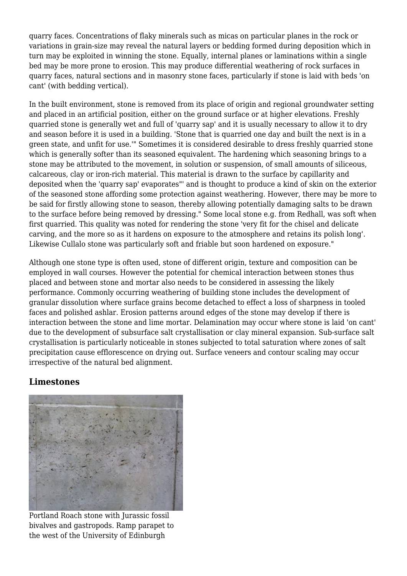quarry faces. Concentrations of flaky minerals such as micas on particular planes in the rock or variations in grain-size may reveal the natural layers or bedding formed during deposition which in turn may be exploited in winning the stone. Equally, internal planes or laminations within a single bed may be more prone to erosion. This may produce differential weathering of rock surfaces in quarry faces, natural sections and in masonry stone faces, particularly if stone is laid with beds 'on cant' (with bedding vertical).

In the built environment, stone is removed from its place of origin and regional groundwater setting and placed in an artificial position, either on the ground surface or at higher elevations. Freshly quarried stone is generally wet and full of 'quarry sap' and it is usually necessary to allow it to dry and season before it is used in a building. 'Stone that is quarried one day and built the next is in a green state, and unfit for use.'" Sometimes it is considered desirable to dress freshly quarried stone which is generally softer than its seasoned equivalent. The hardening which seasoning brings to a stone may be attributed to the movement, in solution or suspension, of small amounts of siliceous, calcareous, clay or iron-rich material. This material is drawn to the surface by capillarity and deposited when the 'quarry sap' evaporates"' and is thought to produce a kind of skin on the exterior of the seasoned stone affording some protection against weathering. However, there may be more to be said for firstly allowing stone to season, thereby allowing potentially damaging salts to be drawn to the surface before being removed by dressing." Some local stone e.g. from Redhall, was soft when first quarried. This quality was noted for rendering the stone 'very fit for the chisel and delicate carving, and the more so as it hardens on exposure to the atmosphere and retains its polish long'. Likewise Cullalo stone was particularly soft and friable but soon hardened on exposure."

Although one stone type is often used, stone of different origin, texture and composition can be employed in wall courses. However the potential for chemical interaction between stones thus placed and between stone and mortar also needs to be considered in assessing the likely performance. Commonly occurring weathering of building stone includes the development of granular dissolution where surface grains become detached to effect a loss of sharpness in tooled faces and polished ashlar. Erosion patterns around edges of the stone may develop if there is interaction between the stone and lime mortar. Delamination may occur where stone is laid 'on cant' due to the development of subsurface salt crystallisation or clay mineral expansion. Sub-surface salt crystallisation is particularly noticeable in stones subjected to total saturation where zones of salt precipitation cause efflorescence on drying out. Surface veneers and contour scaling may occur irrespective of the natural bed alignment.

### **Limestones**



Portland Roach stone with Jurassic fossil bivalves and gastropods. Ramp parapet to the west of the University of Edinburgh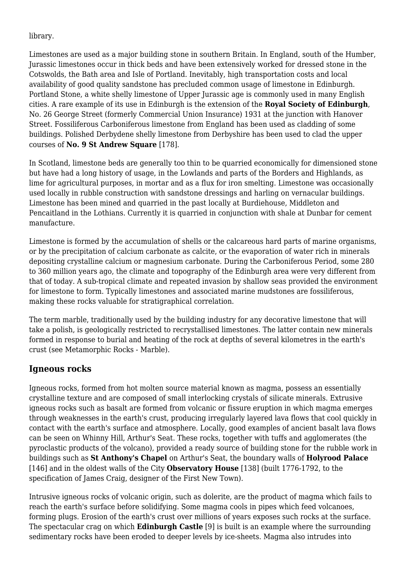#### library.

Limestones are used as a major building stone in southern Britain. In England, south of the Humber, Jurassic limestones occur in thick beds and have been extensively worked for dressed stone in the Cotswolds, the Bath area and Isle of Portland. Inevitably, high transportation costs and local availability of good quality sandstone has precluded common usage of limestone in Edinburgh. Portland Stone, a white shelly limestone of Upper Jurassic age is commonly used in many English cities. A rare example of its use in Edinburgh is the extension of the **Royal Society of Edinburgh**, No. 26 George Street (formerly Commercial Union Insurance) 1931 at the junction with Hanover Street. Fossiliferous Carboniferous limestone from England has been used as cladding of some buildings. Polished Derbydene shelly limestone from Derbyshire has been used to clad the upper courses of **No. 9 St Andrew Square** [178].

In Scotland, limestone beds are generally too thin to be quarried economically for dimensioned stone but have had a long history of usage, in the Lowlands and parts of the Borders and Highlands, as lime for agricultural purposes, in mortar and as a flux for iron smelting. Limestone was occasionally used locally in rubble construction with sandstone dressings and harling on vernacular buildings. Limestone has been mined and quarried in the past locally at Burdiehouse, Middleton and Pencaitland in the Lothians. Currently it is quarried in conjunction with shale at Dunbar for cement manufacture.

Limestone is formed by the accumulation of shells or the calcareous hard parts of marine organisms, or by the precipitation of calcium carbonate as calcite, or the evaporation of water rich in minerals depositing crystalline calcium or magnesium carbonate. During the Carboniferous Period, some 280 to 360 million years ago, the climate and topography of the Edinburgh area were very different from that of today. A sub-tropical climate and repeated invasion by shallow seas provided the environment for limestone to form. Typically limestones and associated marine mudstones are fossiliferous, making these rocks valuable for stratigraphical correlation.

The term marble, traditionally used by the building industry for any decorative limestone that will take a polish, is geologically restricted to recrystallised limestones. The latter contain new minerals formed in response to burial and heating of the rock at depths of several kilometres in the earth's crust (see Metamorphic Rocks - Marble).

### **Igneous rocks**

Igneous rocks, formed from hot molten source material known as magma, possess an essentially crystalline texture and are composed of small interlocking crystals of silicate minerals. Extrusive igneous rocks such as basalt are formed from volcanic or fissure eruption in which magma emerges through weaknesses in the earth's crust, producing irregularly layered lava flows that cool quickly in contact with the earth's surface and atmosphere. Locally, good examples of ancient basalt lava flows can be seen on Whinny Hill, Arthur's Seat. These rocks, together with tuffs and agglomerates (the pyroclastic products of the volcano), provided a ready source of building stone for the rubble work in buildings such as **St Anthony's Chapel** on Arthur's Seat, the boundary walls of **Holyrood Palace** [146] and in the oldest walls of the City **Observatory House** [138] (built 1776-1792, to the specification of James Craig, designer of the First New Town).

Intrusive igneous rocks of volcanic origin, such as dolerite, are the product of magma which fails to reach the earth's surface before solidifying. Some magma cools in pipes which feed volcanoes, forming plugs. Erosion of the earth's crust over millions of years exposes such rocks at the surface. The spectacular crag on which **Edinburgh Castle** [9] is built is an example where the surrounding sedimentary rocks have been eroded to deeper levels by ice-sheets. Magma also intrudes into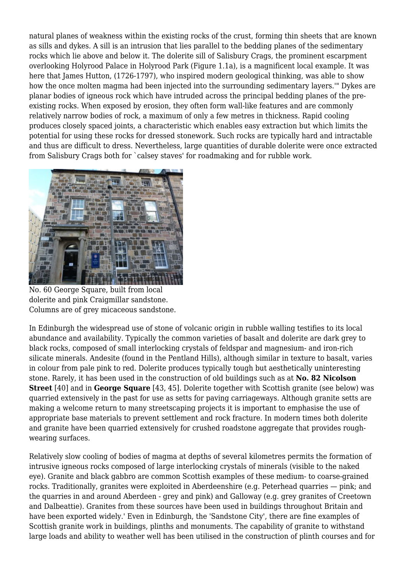natural planes of weakness within the existing rocks of the crust, forming thin sheets that are known as sills and dykes. A sill is an intrusion that lies parallel to the bedding planes of the sedimentary rocks which lie above and below it. The dolerite sill of Salisbury Crags, the prominent escarpment overlooking Holyrood Palace in Holyrood Park (Figure 1.1a), is a magnificent local example. It was here that James Hutton, (1726-1797), who inspired modern geological thinking, was able to show how the once molten magma had been injected into the surrounding sedimentary layers.'" Dykes are planar bodies of igneous rock which have intruded across the principal bedding planes of the preexisting rocks. When exposed by erosion, they often form wall-like features and are commonly relatively narrow bodies of rock, a maximum of only a few metres in thickness. Rapid cooling produces closely spaced joints, a characteristic which enables easy extraction but which limits the potential for using these rocks for dressed stonework. Such rocks are typically hard and intractable and thus are difficult to dress. Nevertheless, large quantities of durable dolerite were once extracted from Salisbury Crags both for `calsey staves' for roadmaking and for rubble work.



No. 60 George Square, built from local dolerite and pink Craigmillar sandstone. Columns are of grey micaceous sandstone.

In Edinburgh the widespread use of stone of volcanic origin in rubble walling testifies to its local abundance and availability. Typically the common varieties of basalt and dolerite are dark grey to black rocks, composed of small interlocking crystals of feldspar and magnesium- and iron-rich silicate minerals. Andesite (found in the Pentland Hills), although similar in texture to basalt, varies in colour from pale pink to red. Dolerite produces typically tough but aesthetically uninteresting stone. Rarely, it has been used in the construction of old buildings such as at **No. 82 Nicolson Street** [40] and in **George Square** [43, 45]. Dolerite together with Scottish granite (see below) was quarried extensively in the past for use as setts for paving carriageways. Although granite setts are making a welcome return to many streetscaping projects it is important to emphasise the use of appropriate base materials to prevent settlement and rock fracture. In modern times both dolerite and granite have been quarried extensively for crushed roadstone aggregate that provides roughwearing surfaces.

Relatively slow cooling of bodies of magma at depths of several kilometres permits the formation of intrusive igneous rocks composed of large interlocking crystals of minerals (visible to the naked eye). Granite and black gabbro are common Scottish examples of these medium- to coarse-grained rocks. Traditionally, granites were exploited in Aberdeenshire (e.g. Peterhead quarries — pink; and the quarries in and around Aberdeen - grey and pink) and Galloway (e.g. grey granites of Creetown and Dalbeattie). Granites from these sources have been used in buildings throughout Britain and have been exported widely.' Even in Edinburgh, the 'Sandstone City', there are fine examples of Scottish granite work in buildings, plinths and monuments. The capability of granite to withstand large loads and ability to weather well has been utilised in the construction of plinth courses and for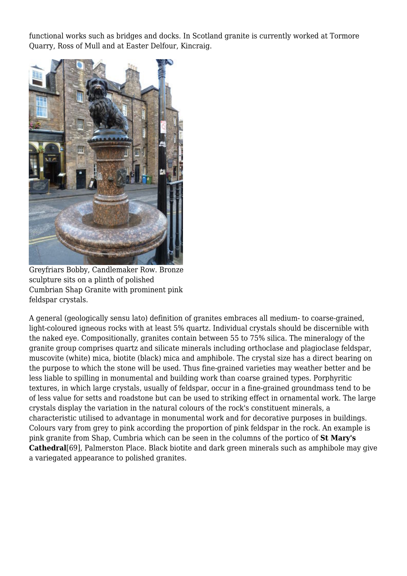functional works such as bridges and docks. In Scotland granite is currently worked at Tormore Quarry, Ross of Mull and at Easter Delfour, Kincraig.



Greyfriars Bobby, Candlemaker Row. Bronze sculpture sits on a plinth of polished Cumbrian Shap Granite with prominent pink feldspar crystals.

A general (geologically sensu lato) definition of granites embraces all medium- to coarse-grained, light-coloured igneous rocks with at least 5% quartz. Individual crystals should be discernible with the naked eye. Compositionally, granites contain between 55 to 75% silica. The mineralogy of the granite group comprises quartz and silicate minerals including orthoclase and plagioclase feldspar, muscovite (white) mica, biotite (black) mica and amphibole. The crystal size has a direct bearing on the purpose to which the stone will be used. Thus fine-grained varieties may weather better and be less liable to spilling in monumental and building work than coarse grained types. Porphyritic textures, in which large crystals, usually of feldspar, occur in a fine-grained groundmass tend to be of less value for setts and roadstone but can be used to striking effect in ornamental work. The large crystals display the variation in the natural colours of the rock's constituent minerals, a characteristic utilised to advantage in monumental work and for decorative purposes in buildings. Colours vary from grey to pink according the proportion of pink feldspar in the rock. An example is pink granite from Shap, Cumbria which can be seen in the columns of the portico of **St Mary's Cathedral**[69], Palmerston Place. Black biotite and dark green minerals such as amphibole may give a variegated appearance to polished granites.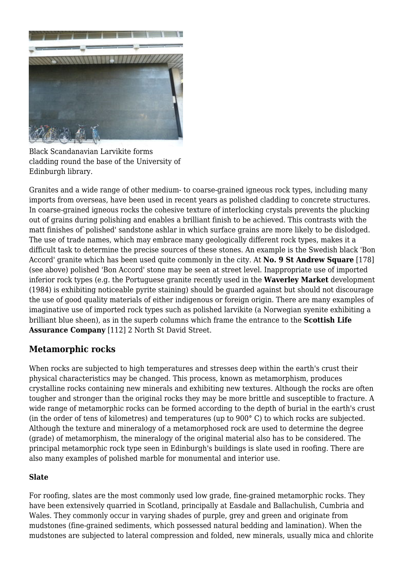

Black Scandanavian Larvikite forms cladding round the base of the University of Edinburgh library.

Granites and a wide range of other medium- to coarse-grained igneous rock types, including many imports from overseas, have been used in recent years as polished cladding to concrete structures. In coarse-grained igneous rocks the cohesive texture of interlocking crystals prevents the plucking out of grains during polishing and enables a brilliant finish to be achieved. This contrasts with the matt finishes of`polished' sandstone ashlar in which surface grains are more likely to be dislodged. The use of trade names, which may embrace many geologically different rock types, makes it a difficult task to determine the precise sources of these stones. An example is the Swedish black 'Bon Accord' granite which has been used quite commonly in the city. At **No. 9 St Andrew Square** [178] (see above) polished 'Bon Accord' stone may be seen at street level. Inappropriate use of imported inferior rock types (e.g. the Portuguese granite recently used in the **Waverley Market** development (1984) is exhibiting noticeable pyrite staining) should be guarded against but should not discourage the use of good quality materials of either indigenous or foreign origin. There are many examples of imaginative use of imported rock types such as polished larvikite (a Norwegian syenite exhibiting a brilliant blue sheen), as in the superb columns which frame the entrance to the **Scottish Life Assurance Company** [112] 2 North St David Street.

### **Metamorphic rocks**

When rocks are subjected to high temperatures and stresses deep within the earth's crust their physical characteristics may be changed. This process, known as metamorphism, produces crystalline rocks containing new minerals and exhibiting new textures. Although the rocks are often tougher and stronger than the original rocks they may be more brittle and susceptible to fracture. A wide range of metamorphic rocks can be formed according to the depth of burial in the earth's crust (in the order of tens of kilometres) and temperatures (up to 900° C) to which rocks are subjected. Although the texture and mineralogy of a metamorphosed rock are used to determine the degree (grade) of metamorphism, the mineralogy of the original material also has to be considered. The principal metamorphic rock type seen in Edinburgh's buildings is slate used in roofing. There are also many examples of polished marble for monumental and interior use.

#### **Slate**

For roofing, slates are the most commonly used low grade, fine-grained metamorphic rocks. They have been extensively quarried in Scotland, principally at Easdale and Ballachulish, Cumbria and Wales. They commonly occur in varying shades of purple, grey and green and originate from mudstones (fine-grained sediments, which possessed natural bedding and lamination). When the mudstones are subjected to lateral compression and folded, new minerals, usually mica and chlorite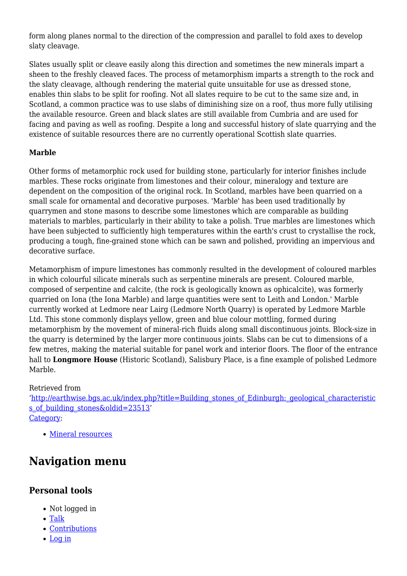form along planes normal to the direction of the compression and parallel to fold axes to develop slaty cleavage.

Slates usually split or cleave easily along this direction and sometimes the new minerals impart a sheen to the freshly cleaved faces. The process of metamorphism imparts a strength to the rock and the slaty cleavage, although rendering the material quite unsuitable for use as dressed stone, enables thin slabs to be split for roofing. Not all slates require to be cut to the same size and, in Scotland, a common practice was to use slabs of diminishing size on a roof, thus more fully utilising the available resource. Green and black slates are still available from Cumbria and are used for facing and paving as well as roofing. Despite a long and successful history of slate quarrying and the existence of suitable resources there are no currently operational Scottish slate quarries.

#### **Marble**

Other forms of metamorphic rock used for building stone, particularly for interior finishes include marbles. These rocks originate from limestones and their colour, mineralogy and texture are dependent on the composition of the original rock. In Scotland, marbles have been quarried on a small scale for ornamental and decorative purposes. 'Marble' has been used traditionally by quarrymen and stone masons to describe some limestones which are comparable as building materials to marbles, particularly in their ability to take a polish. True marbles are limestones which have been subjected to sufficiently high temperatures within the earth's crust to crystallise the rock, producing a tough, fine-grained stone which can be sawn and polished, providing an impervious and decorative surface.

Metamorphism of impure limestones has commonly resulted in the development of coloured marbles in which colourful silicate minerals such as serpentine minerals are present. Coloured marble, composed of serpentine and calcite, (the rock is geologically known as ophicalcite), was formerly quarried on Iona (the Iona Marble) and large quantities were sent to Leith and London.' Marble currently worked at Ledmore near Lairg (Ledmore North Quarry) is operated by Ledmore Marble Ltd. This stone commonly displays yellow, green and blue colour mottling, formed during metamorphism by the movement of mineral-rich fluids along small discontinuous joints. Block-size in the quarry is determined by the larger more continuous joints. Slabs can be cut to dimensions of a few metres, making the material suitable for panel work and interior floors. The floor of the entrance hall to **Longmore House** (Historic Scotland), Salisbury Place, is a fine example of polished Ledmore Marble.

#### Retrieved from

'[http://earthwise.bgs.ac.uk/index.php?title=Building\\_stones\\_of\\_Edinburgh:\\_geological\\_characteristic](http://earthwise.bgs.ac.uk/index.php?title=Building_stones_of_Edinburgh:_geological_characteristics_of_building_stones&oldid=23513) s of building stones&oldid=23513' [Category](http://earthwise.bgs.ac.uk/index.php/Special:Categories):

[Mineral resources](http://earthwise.bgs.ac.uk/index.php/Category:Mineral_resources)

# **Navigation menu**

### **Personal tools**

- Not logged in
- [Talk](http://earthwise.bgs.ac.uk/index.php/Special:MyTalk)
- [Contributions](http://earthwise.bgs.ac.uk/index.php/Special:MyContributions)
- [Log in](http://earthwise.bgs.ac.uk/index.php?title=Special:UserLogin&returnto=Building+stones+of+Edinburgh%3A+geological+characteristics+of+building+stones&returntoquery=action%3Dmpdf)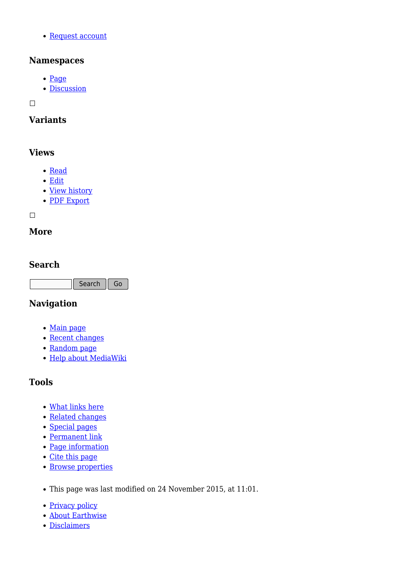[Request account](http://earthwise.bgs.ac.uk/index.php/Special:RequestAccount)

## **Namespaces**

- [Page](http://earthwise.bgs.ac.uk/index.php/Building_stones_of_Edinburgh:_geological_characteristics_of_building_stones)
- [Discussion](http://earthwise.bgs.ac.uk/index.php?title=Talk:Building_stones_of_Edinburgh:_geological_characteristics_of_building_stones&action=edit&redlink=1)

 $\Box$ 

# **Variants**

# **Views**

- [Read](http://earthwise.bgs.ac.uk/index.php/Building_stones_of_Edinburgh:_geological_characteristics_of_building_stones)
- [Edit](http://earthwise.bgs.ac.uk/index.php?title=Building_stones_of_Edinburgh:_geological_characteristics_of_building_stones&action=edit)
- [View history](http://earthwise.bgs.ac.uk/index.php?title=Building_stones_of_Edinburgh:_geological_characteristics_of_building_stones&action=history)
- [PDF Export](http://earthwise.bgs.ac.uk/index.php?title=Building_stones_of_Edinburgh:_geological_characteristics_of_building_stones&action=mpdf)

 $\Box$ 

# **More**

# **Search**

Search Go

## **Navigation**

- [Main page](http://earthwise.bgs.ac.uk/index.php/Main_Page)
- [Recent changes](http://earthwise.bgs.ac.uk/index.php/Special:RecentChanges)
- [Random page](http://earthwise.bgs.ac.uk/index.php/Special:Random)
- [Help about MediaWiki](https://www.mediawiki.org/wiki/Special:MyLanguage/Help:Contents)

# **Tools**

- [What links here](http://earthwise.bgs.ac.uk/index.php/Special:WhatLinksHere/Building_stones_of_Edinburgh:_geological_characteristics_of_building_stones)
- [Related changes](http://earthwise.bgs.ac.uk/index.php/Special:RecentChangesLinked/Building_stones_of_Edinburgh:_geological_characteristics_of_building_stones)
- [Special pages](http://earthwise.bgs.ac.uk/index.php/Special:SpecialPages)
- [Permanent link](http://earthwise.bgs.ac.uk/index.php?title=Building_stones_of_Edinburgh:_geological_characteristics_of_building_stones&oldid=23513)
- [Page information](http://earthwise.bgs.ac.uk/index.php?title=Building_stones_of_Edinburgh:_geological_characteristics_of_building_stones&action=info)
- [Cite this page](http://earthwise.bgs.ac.uk/index.php?title=Special:CiteThisPage&page=Building_stones_of_Edinburgh%3A_geological_characteristics_of_building_stones&id=23513)
- [Browse properties](http://earthwise.bgs.ac.uk/index.php/Special:Browse/:Building-5Fstones-5Fof-5FEdinburgh:-5Fgeological-5Fcharacteristics-5Fof-5Fbuilding-5Fstones)
- This page was last modified on 24 November 2015, at 11:01.
- [Privacy policy](http://earthwise.bgs.ac.uk/index.php/Earthwise:Privacy_policy)
- [About Earthwise](http://earthwise.bgs.ac.uk/index.php/Earthwise:About)
- [Disclaimers](http://earthwise.bgs.ac.uk/index.php/Earthwise:General_disclaimer)